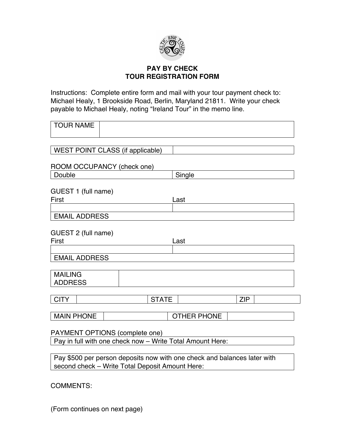

## **PAY BY CHECK TOUR REGISTRATION FORM**

Instructions: Complete entire form and mail with your tour payment check to: Michael Healy, 1 Brookside Road, Berlin, Maryland 21811. Write your check payable to Michael Healy, noting "Ireland Tour" in the memo line.

| <b>TOUR NAME</b>                                                                                                            |  |  |              |                    |  |            |  |
|-----------------------------------------------------------------------------------------------------------------------------|--|--|--------------|--------------------|--|------------|--|
| WEST POINT CLASS (if applicable)                                                                                            |  |  |              |                    |  |            |  |
|                                                                                                                             |  |  |              |                    |  |            |  |
| ROOM OCCUPANCY (check one)                                                                                                  |  |  |              |                    |  |            |  |
| Double                                                                                                                      |  |  |              | Single             |  |            |  |
| GUEST 1 (full name)<br>First                                                                                                |  |  |              | Last               |  |            |  |
| <b>EMAIL ADDRESS</b>                                                                                                        |  |  |              |                    |  |            |  |
| GUEST 2 (full name)<br>First                                                                                                |  |  |              | Last               |  |            |  |
|                                                                                                                             |  |  |              |                    |  |            |  |
| <b>EMAIL ADDRESS</b>                                                                                                        |  |  |              |                    |  |            |  |
| <b>MAILING</b><br><b>ADDRESS</b>                                                                                            |  |  |              |                    |  |            |  |
| <b>CITY</b>                                                                                                                 |  |  | <b>STATE</b> |                    |  | <b>ZIP</b> |  |
| <b>MAIN PHONE</b>                                                                                                           |  |  |              | <b>OTHER PHONE</b> |  |            |  |
| PAYMENT OPTIONS (complete one)                                                                                              |  |  |              |                    |  |            |  |
| Pay in full with one check now - Write Total Amount Here:                                                                   |  |  |              |                    |  |            |  |
|                                                                                                                             |  |  |              |                    |  |            |  |
| Pay \$500 per person deposits now with one check and balances later with<br>second check - Write Total Deposit Amount Here: |  |  |              |                    |  |            |  |
| <b>COMMENTS:</b>                                                                                                            |  |  |              |                    |  |            |  |

(Form continues on next page)